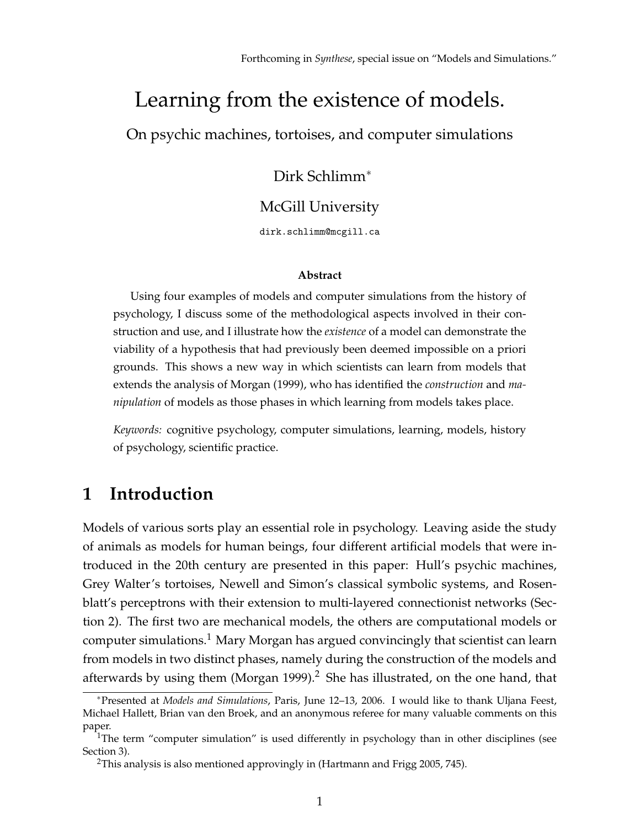# Learning from the existence of models.

On psychic machines, tortoises, and computer simulations

#### Dirk Schlimm<sup>∗</sup>

#### McGill University

dirk.schlimm@mcgill.ca

#### **Abstract**

Using four examples of models and computer simulations from the history of psychology, I discuss some of the methodological aspects involved in their construction and use, and I illustrate how the *existence* of a model can demonstrate the viability of a hypothesis that had previously been deemed impossible on a priori grounds. This shows a new way in which scientists can learn from models that extends the analysis of Morgan (1999), who has identified the *construction* and *manipulation* of models as those phases in which learning from models takes place.

*Keywords:* cognitive psychology, computer simulations, learning, models, history of psychology, scientific practice.

### **1 Introduction**

Models of various sorts play an essential role in psychology. Leaving aside the study of animals as models for human beings, four different artificial models that were introduced in the 20th century are presented in this paper: Hull's psychic machines, Grey Walter's tortoises, Newell and Simon's classical symbolic systems, and Rosenblatt's perceptrons with their extension to multi-layered connectionist networks (Section 2). The first two are mechanical models, the others are computational models or computer simulations.<sup>1</sup> Mary Morgan has argued convincingly that scientist can learn from models in two distinct phases, namely during the construction of the models and afterwards by using them (Morgan 1999).<sup>2</sup> She has illustrated, on the one hand, that

<sup>∗</sup>Presented at *Models and Simulations*, Paris, June 12–13, 2006. I would like to thank Uljana Feest, Michael Hallett, Brian van den Broek, and an anonymous referee for many valuable comments on this paper.

<sup>&</sup>lt;sup>1</sup>The term "computer simulation" is used differently in psychology than in other disciplines (see Section 3).

<sup>&</sup>lt;sup>2</sup>This analysis is also mentioned approvingly in (Hartmann and Frigg 2005, 745).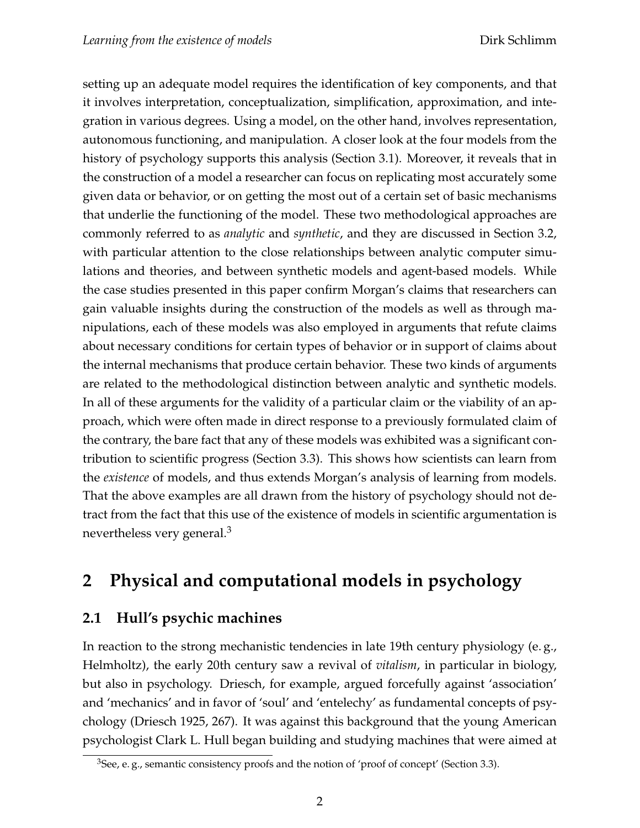setting up an adequate model requires the identification of key components, and that it involves interpretation, conceptualization, simplification, approximation, and integration in various degrees. Using a model, on the other hand, involves representation, autonomous functioning, and manipulation. A closer look at the four models from the history of psychology supports this analysis (Section 3.1). Moreover, it reveals that in the construction of a model a researcher can focus on replicating most accurately some given data or behavior, or on getting the most out of a certain set of basic mechanisms that underlie the functioning of the model. These two methodological approaches are commonly referred to as *analytic* and *synthetic*, and they are discussed in Section 3.2, with particular attention to the close relationships between analytic computer simulations and theories, and between synthetic models and agent-based models. While the case studies presented in this paper confirm Morgan's claims that researchers can gain valuable insights during the construction of the models as well as through manipulations, each of these models was also employed in arguments that refute claims about necessary conditions for certain types of behavior or in support of claims about the internal mechanisms that produce certain behavior. These two kinds of arguments are related to the methodological distinction between analytic and synthetic models. In all of these arguments for the validity of a particular claim or the viability of an approach, which were often made in direct response to a previously formulated claim of the contrary, the bare fact that any of these models was exhibited was a significant contribution to scientific progress (Section 3.3). This shows how scientists can learn from the *existence* of models, and thus extends Morgan's analysis of learning from models. That the above examples are all drawn from the history of psychology should not detract from the fact that this use of the existence of models in scientific argumentation is nevertheless very general.<sup>3</sup>

# **2 Physical and computational models in psychology**

### **2.1 Hull's psychic machines**

In reaction to the strong mechanistic tendencies in late 19th century physiology (e. g., Helmholtz), the early 20th century saw a revival of *vitalism*, in particular in biology, but also in psychology. Driesch, for example, argued forcefully against 'association' and 'mechanics' and in favor of 'soul' and 'entelechy' as fundamental concepts of psychology (Driesch 1925, 267). It was against this background that the young American psychologist Clark L. Hull began building and studying machines that were aimed at

<sup>3</sup>See, e. g., semantic consistency proofs and the notion of 'proof of concept' (Section 3.3).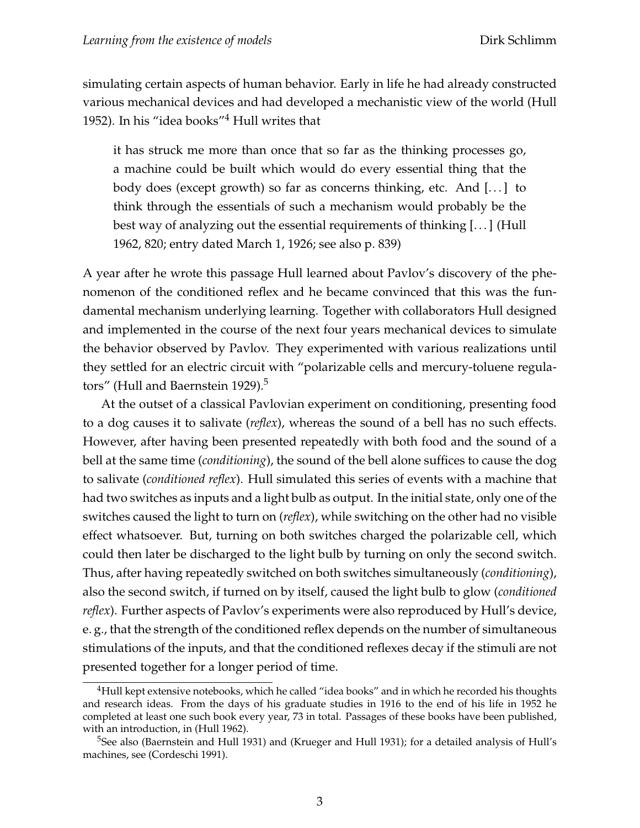simulating certain aspects of human behavior. Early in life he had already constructed various mechanical devices and had developed a mechanistic view of the world (Hull 1952). In his "idea books"<sup>4</sup> Hull writes that

it has struck me more than once that so far as the thinking processes go, a machine could be built which would do every essential thing that the body does (except growth) so far as concerns thinking, etc. And [. . . ] to think through the essentials of such a mechanism would probably be the best way of analyzing out the essential requirements of thinking [. . . ] (Hull 1962, 820; entry dated March 1, 1926; see also p. 839)

A year after he wrote this passage Hull learned about Pavlov's discovery of the phenomenon of the conditioned reflex and he became convinced that this was the fundamental mechanism underlying learning. Together with collaborators Hull designed and implemented in the course of the next four years mechanical devices to simulate the behavior observed by Pavlov. They experimented with various realizations until they settled for an electric circuit with "polarizable cells and mercury-toluene regulators" (Hull and Baernstein 1929).<sup>5</sup>

At the outset of a classical Pavlovian experiment on conditioning, presenting food to a dog causes it to salivate (*reflex*), whereas the sound of a bell has no such effects. However, after having been presented repeatedly with both food and the sound of a bell at the same time (*conditioning*), the sound of the bell alone suffices to cause the dog to salivate (*conditioned reflex*). Hull simulated this series of events with a machine that had two switches as inputs and a light bulb as output. In the initial state, only one of the switches caused the light to turn on (*reflex*), while switching on the other had no visible effect whatsoever. But, turning on both switches charged the polarizable cell, which could then later be discharged to the light bulb by turning on only the second switch. Thus, after having repeatedly switched on both switches simultaneously (*conditioning*), also the second switch, if turned on by itself, caused the light bulb to glow (*conditioned reflex*). Further aspects of Pavlov's experiments were also reproduced by Hull's device, e. g., that the strength of the conditioned reflex depends on the number of simultaneous stimulations of the inputs, and that the conditioned reflexes decay if the stimuli are not presented together for a longer period of time.

<sup>&</sup>lt;sup>4</sup>Hull kept extensive notebooks, which he called "idea books" and in which he recorded his thoughts and research ideas. From the days of his graduate studies in 1916 to the end of his life in 1952 he completed at least one such book every year, 73 in total. Passages of these books have been published, with an introduction, in (Hull 1962).

<sup>&</sup>lt;sup>5</sup>See also (Baernstein and Hull 1931) and (Krueger and Hull 1931); for a detailed analysis of Hull's machines, see (Cordeschi 1991).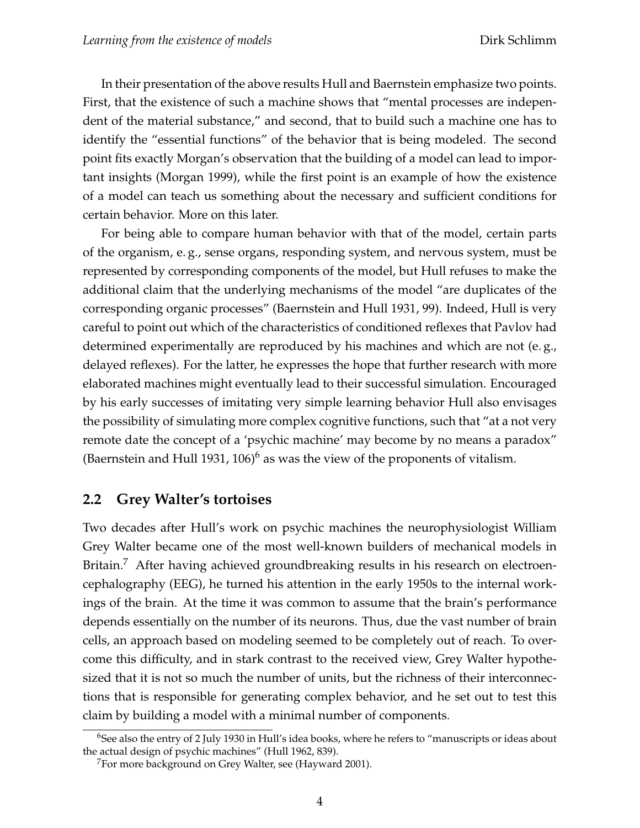In their presentation of the above results Hull and Baernstein emphasize two points. First, that the existence of such a machine shows that "mental processes are independent of the material substance," and second, that to build such a machine one has to identify the "essential functions" of the behavior that is being modeled. The second point fits exactly Morgan's observation that the building of a model can lead to important insights (Morgan 1999), while the first point is an example of how the existence of a model can teach us something about the necessary and sufficient conditions for certain behavior. More on this later.

For being able to compare human behavior with that of the model, certain parts of the organism, e. g., sense organs, responding system, and nervous system, must be represented by corresponding components of the model, but Hull refuses to make the additional claim that the underlying mechanisms of the model "are duplicates of the corresponding organic processes" (Baernstein and Hull 1931, 99). Indeed, Hull is very careful to point out which of the characteristics of conditioned reflexes that Pavlov had determined experimentally are reproduced by his machines and which are not (e.g., delayed reflexes). For the latter, he expresses the hope that further research with more elaborated machines might eventually lead to their successful simulation. Encouraged by his early successes of imitating very simple learning behavior Hull also envisages the possibility of simulating more complex cognitive functions, such that "at a not very remote date the concept of a 'psychic machine' may become by no means a paradox" (Baernstein and Hull 1931, 106) $^6$  as was the view of the proponents of vitalism.

#### **2.2 Grey Walter's tortoises**

Two decades after Hull's work on psychic machines the neurophysiologist William Grey Walter became one of the most well-known builders of mechanical models in Britain.<sup>7</sup> After having achieved groundbreaking results in his research on electroencephalography (EEG), he turned his attention in the early 1950s to the internal workings of the brain. At the time it was common to assume that the brain's performance depends essentially on the number of its neurons. Thus, due the vast number of brain cells, an approach based on modeling seemed to be completely out of reach. To overcome this difficulty, and in stark contrast to the received view, Grey Walter hypothesized that it is not so much the number of units, but the richness of their interconnections that is responsible for generating complex behavior, and he set out to test this claim by building a model with a minimal number of components.

<sup>&</sup>lt;sup>6</sup>See also the entry of 2 July 1930 in Hull's idea books, where he refers to "manuscripts or ideas about the actual design of psychic machines" (Hull 1962, 839).

<sup>7</sup>For more background on Grey Walter, see (Hayward 2001).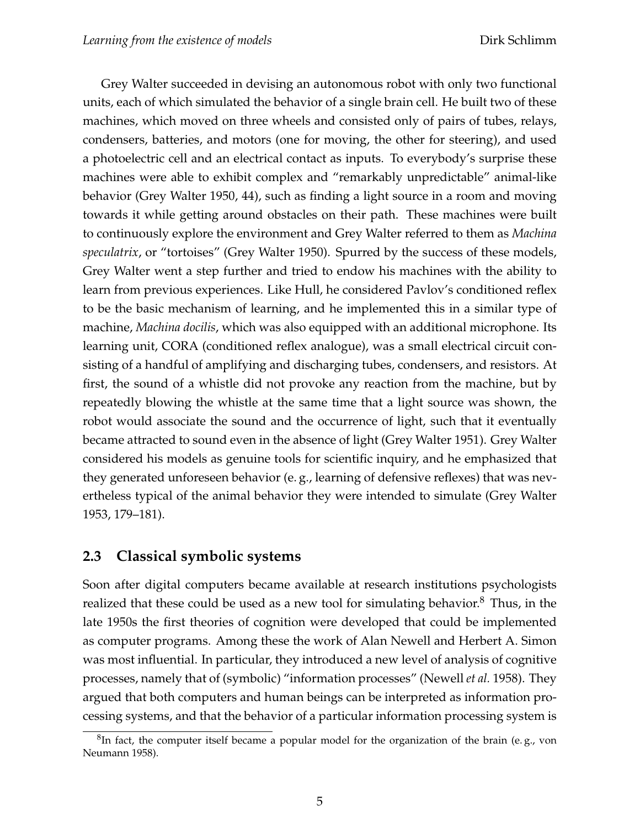Grey Walter succeeded in devising an autonomous robot with only two functional units, each of which simulated the behavior of a single brain cell. He built two of these machines, which moved on three wheels and consisted only of pairs of tubes, relays, condensers, batteries, and motors (one for moving, the other for steering), and used a photoelectric cell and an electrical contact as inputs. To everybody's surprise these machines were able to exhibit complex and "remarkably unpredictable" animal-like behavior (Grey Walter 1950, 44), such as finding a light source in a room and moving towards it while getting around obstacles on their path. These machines were built to continuously explore the environment and Grey Walter referred to them as *Machina speculatrix*, or "tortoises" (Grey Walter 1950). Spurred by the success of these models, Grey Walter went a step further and tried to endow his machines with the ability to learn from previous experiences. Like Hull, he considered Pavlov's conditioned reflex to be the basic mechanism of learning, and he implemented this in a similar type of machine, *Machina docilis*, which was also equipped with an additional microphone. Its learning unit, CORA (conditioned reflex analogue), was a small electrical circuit consisting of a handful of amplifying and discharging tubes, condensers, and resistors. At first, the sound of a whistle did not provoke any reaction from the machine, but by repeatedly blowing the whistle at the same time that a light source was shown, the robot would associate the sound and the occurrence of light, such that it eventually became attracted to sound even in the absence of light (Grey Walter 1951). Grey Walter considered his models as genuine tools for scientific inquiry, and he emphasized that they generated unforeseen behavior (e. g., learning of defensive reflexes) that was nevertheless typical of the animal behavior they were intended to simulate (Grey Walter 1953, 179–181).

### **2.3 Classical symbolic systems**

Soon after digital computers became available at research institutions psychologists realized that these could be used as a new tool for simulating behavior.<sup>8</sup> Thus, in the late 1950s the first theories of cognition were developed that could be implemented as computer programs. Among these the work of Alan Newell and Herbert A. Simon was most influential. In particular, they introduced a new level of analysis of cognitive processes, namely that of (symbolic) "information processes" (Newell *et al.* 1958). They argued that both computers and human beings can be interpreted as information processing systems, and that the behavior of a particular information processing system is

 ${}^{8}$ In fact, the computer itself became a popular model for the organization of the brain (e.g., von Neumann 1958).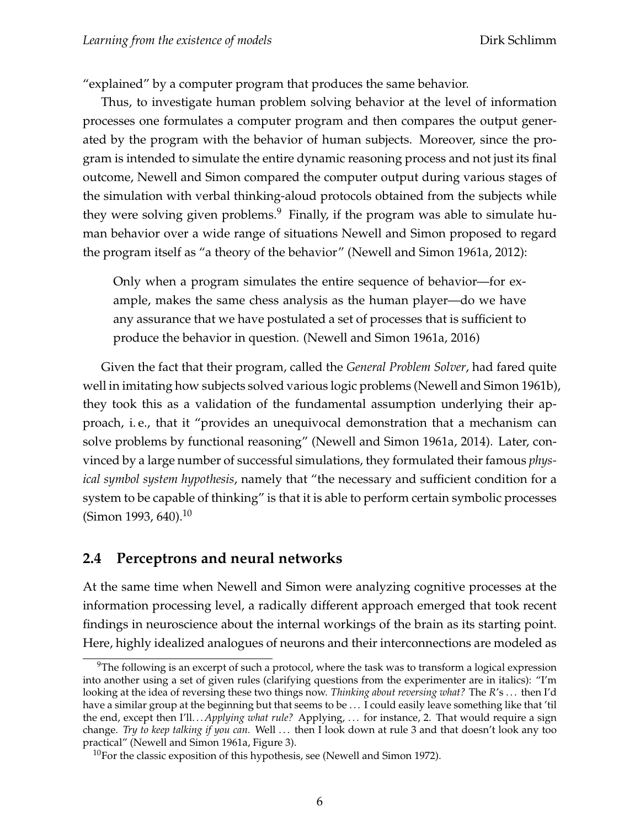"explained" by a computer program that produces the same behavior.

Thus, to investigate human problem solving behavior at the level of information processes one formulates a computer program and then compares the output generated by the program with the behavior of human subjects. Moreover, since the program is intended to simulate the entire dynamic reasoning process and not just its final outcome, Newell and Simon compared the computer output during various stages of the simulation with verbal thinking-aloud protocols obtained from the subjects while they were solving given problems. $9$  Finally, if the program was able to simulate human behavior over a wide range of situations Newell and Simon proposed to regard the program itself as "a theory of the behavior" (Newell and Simon 1961a, 2012):

Only when a program simulates the entire sequence of behavior—for example, makes the same chess analysis as the human player—do we have any assurance that we have postulated a set of processes that is sufficient to produce the behavior in question. (Newell and Simon 1961a, 2016)

Given the fact that their program, called the *General Problem Solver*, had fared quite well in imitating how subjects solved various logic problems (Newell and Simon 1961b), they took this as a validation of the fundamental assumption underlying their approach, i. e., that it "provides an unequivocal demonstration that a mechanism can solve problems by functional reasoning" (Newell and Simon 1961a, 2014). Later, convinced by a large number of successful simulations, they formulated their famous *physical symbol system hypothesis*, namely that "the necessary and sufficient condition for a system to be capable of thinking" is that it is able to perform certain symbolic processes (Simon 1993, 640).<sup>10</sup>

#### **2.4 Perceptrons and neural networks**

At the same time when Newell and Simon were analyzing cognitive processes at the information processing level, a radically different approach emerged that took recent findings in neuroscience about the internal workings of the brain as its starting point. Here, highly idealized analogues of neurons and their interconnections are modeled as

 $9$ The following is an excerpt of such a protocol, where the task was to transform a logical expression into another using a set of given rules (clarifying questions from the experimenter are in italics): "I'm looking at the idea of reversing these two things now. *Thinking about reversing what?* The *R*'s . . . then I'd have a similar group at the beginning but that seems to be . . . I could easily leave something like that 'til the end, except then I'll. . . *Applying what rule?* Applying, . . . for instance, 2. That would require a sign change. *Try to keep talking if you can.* Well . . . then I look down at rule 3 and that doesn't look any too practical" (Newell and Simon 1961a, Figure 3).

 $10$ For the classic exposition of this hypothesis, see (Newell and Simon 1972).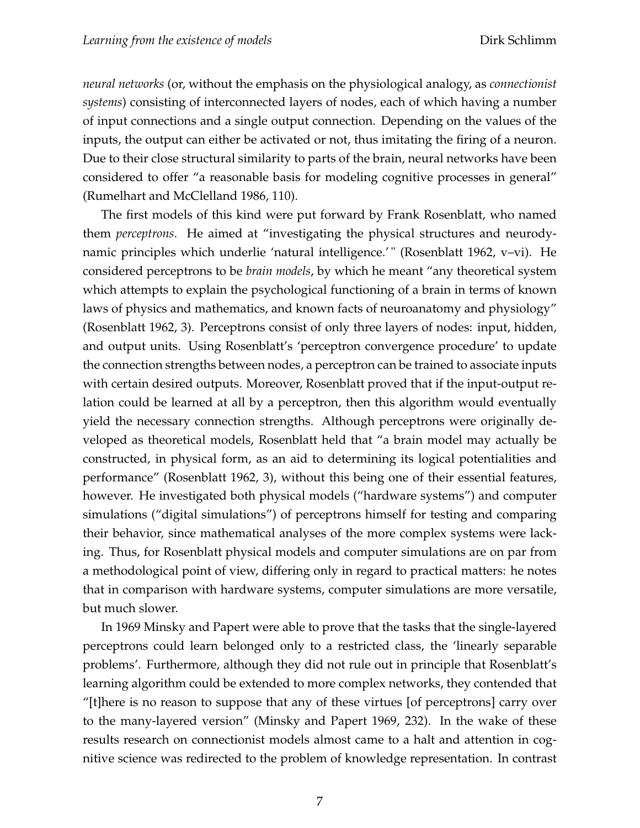*neural networks* (or, without the emphasis on the physiological analogy, as *connectionist systems*) consisting of interconnected layers of nodes, each of which having a number of input connections and a single output connection. Depending on the values of the inputs, the output can either be activated or not, thus imitating the firing of a neuron. Due to their close structural similarity to parts of the brain, neural networks have been considered to offer "a reasonable basis for modeling cognitive processes in general" (Rumelhart and McClelland 1986, 110).

The first models of this kind were put forward by Frank Rosenblatt, who named them *perceptrons*. He aimed at "investigating the physical structures and neurodynamic principles which underlie 'natural intelligence.' " (Rosenblatt 1962, v–vi). He considered perceptrons to be *brain models*, by which he meant "any theoretical system which attempts to explain the psychological functioning of a brain in terms of known laws of physics and mathematics, and known facts of neuroanatomy and physiology" (Rosenblatt 1962, 3). Perceptrons consist of only three layers of nodes: input, hidden, and output units. Using Rosenblatt's 'perceptron convergence procedure' to update the connection strengths between nodes, a perceptron can be trained to associate inputs with certain desired outputs. Moreover, Rosenblatt proved that if the input-output relation could be learned at all by a perceptron, then this algorithm would eventually yield the necessary connection strengths. Although perceptrons were originally developed as theoretical models, Rosenblatt held that "a brain model may actually be constructed, in physical form, as an aid to determining its logical potentialities and performance" (Rosenblatt 1962, 3), without this being one of their essential features, however. He investigated both physical models ("hardware systems") and computer simulations ("digital simulations") of perceptrons himself for testing and comparing their behavior, since mathematical analyses of the more complex systems were lacking. Thus, for Rosenblatt physical models and computer simulations are on par from a methodological point of view, differing only in regard to practical matters: he notes that in comparison with hardware systems, computer simulations are more versatile, but much slower.

In 1969 Minsky and Papert were able to prove that the tasks that the single-layered perceptrons could learn belonged only to a restricted class, the 'linearly separable problems'. Furthermore, although they did not rule out in principle that Rosenblatt's learning algorithm could be extended to more complex networks, they contended that "[t]here is no reason to suppose that any of these virtues [of perceptrons] carry over to the many-layered version" (Minsky and Papert 1969, 232). In the wake of these results research on connectionist models almost came to a halt and attention in cognitive science was redirected to the problem of knowledge representation. In contrast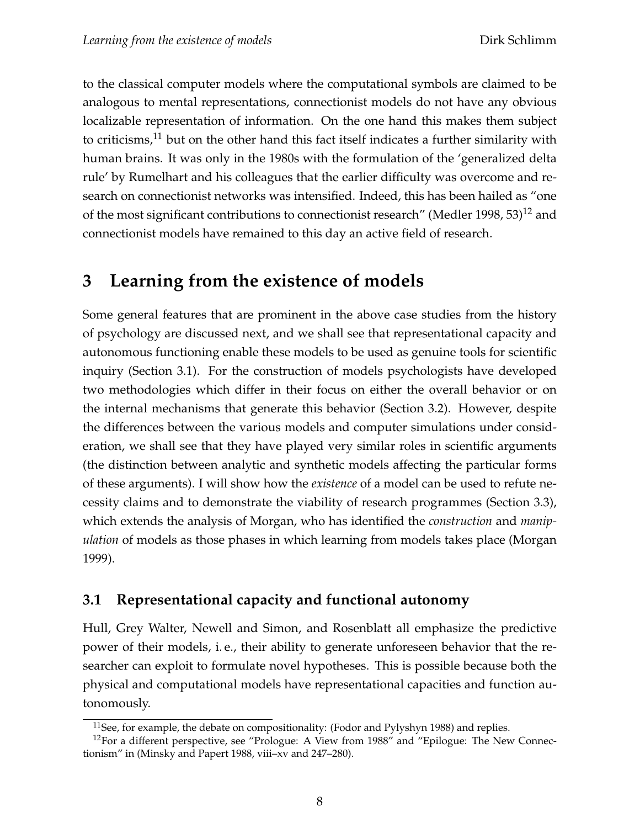to the classical computer models where the computational symbols are claimed to be analogous to mental representations, connectionist models do not have any obvious localizable representation of information. On the one hand this makes them subject to criticisms, $11$  but on the other hand this fact itself indicates a further similarity with human brains. It was only in the 1980s with the formulation of the 'generalized delta rule' by Rumelhart and his colleagues that the earlier difficulty was overcome and research on connectionist networks was intensified. Indeed, this has been hailed as "one of the most significant contributions to connectionist research" (Medler 1998, 53)<sup>12</sup> and connectionist models have remained to this day an active field of research.

# **3 Learning from the existence of models**

Some general features that are prominent in the above case studies from the history of psychology are discussed next, and we shall see that representational capacity and autonomous functioning enable these models to be used as genuine tools for scientific inquiry (Section 3.1). For the construction of models psychologists have developed two methodologies which differ in their focus on either the overall behavior or on the internal mechanisms that generate this behavior (Section 3.2). However, despite the differences between the various models and computer simulations under consideration, we shall see that they have played very similar roles in scientific arguments (the distinction between analytic and synthetic models affecting the particular forms of these arguments). I will show how the *existence* of a model can be used to refute necessity claims and to demonstrate the viability of research programmes (Section 3.3), which extends the analysis of Morgan, who has identified the *construction* and *manipulation* of models as those phases in which learning from models takes place (Morgan 1999).

#### **3.1 Representational capacity and functional autonomy**

Hull, Grey Walter, Newell and Simon, and Rosenblatt all emphasize the predictive power of their models, i. e., their ability to generate unforeseen behavior that the researcher can exploit to formulate novel hypotheses. This is possible because both the physical and computational models have representational capacities and function autonomously.

 $11$ See, for example, the debate on compositionality: (Fodor and Pylyshyn 1988) and replies.

<sup>&</sup>lt;sup>12</sup>For a different perspective, see "Prologue: A View from 1988" and "Epilogue: The New Connectionism" in (Minsky and Papert 1988, viii–xv and 247–280).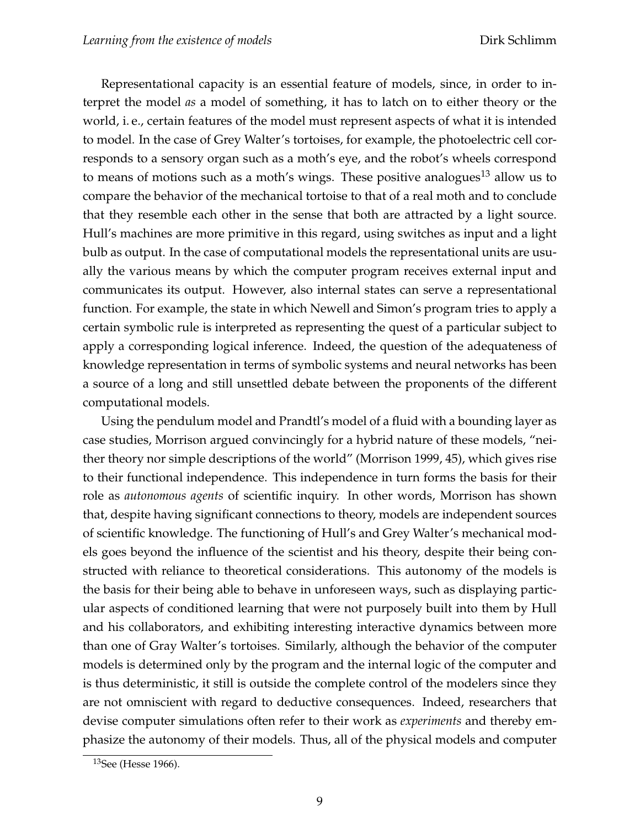Representational capacity is an essential feature of models, since, in order to interpret the model *as* a model of something, it has to latch on to either theory or the world, i. e., certain features of the model must represent aspects of what it is intended to model. In the case of Grey Walter's tortoises, for example, the photoelectric cell corresponds to a sensory organ such as a moth's eye, and the robot's wheels correspond to means of motions such as a moth's wings. These positive analogues<sup>13</sup> allow us to compare the behavior of the mechanical tortoise to that of a real moth and to conclude that they resemble each other in the sense that both are attracted by a light source. Hull's machines are more primitive in this regard, using switches as input and a light bulb as output. In the case of computational models the representational units are usually the various means by which the computer program receives external input and communicates its output. However, also internal states can serve a representational function. For example, the state in which Newell and Simon's program tries to apply a certain symbolic rule is interpreted as representing the quest of a particular subject to apply a corresponding logical inference. Indeed, the question of the adequateness of knowledge representation in terms of symbolic systems and neural networks has been a source of a long and still unsettled debate between the proponents of the different computational models.

Using the pendulum model and Prandtl's model of a fluid with a bounding layer as case studies, Morrison argued convincingly for a hybrid nature of these models, "neither theory nor simple descriptions of the world" (Morrison 1999, 45), which gives rise to their functional independence. This independence in turn forms the basis for their role as *autonomous agents* of scientific inquiry. In other words, Morrison has shown that, despite having significant connections to theory, models are independent sources of scientific knowledge. The functioning of Hull's and Grey Walter's mechanical models goes beyond the influence of the scientist and his theory, despite their being constructed with reliance to theoretical considerations. This autonomy of the models is the basis for their being able to behave in unforeseen ways, such as displaying particular aspects of conditioned learning that were not purposely built into them by Hull and his collaborators, and exhibiting interesting interactive dynamics between more than one of Gray Walter's tortoises. Similarly, although the behavior of the computer models is determined only by the program and the internal logic of the computer and is thus deterministic, it still is outside the complete control of the modelers since they are not omniscient with regard to deductive consequences. Indeed, researchers that devise computer simulations often refer to their work as *experiments* and thereby emphasize the autonomy of their models. Thus, all of the physical models and computer

<sup>13</sup>See (Hesse 1966).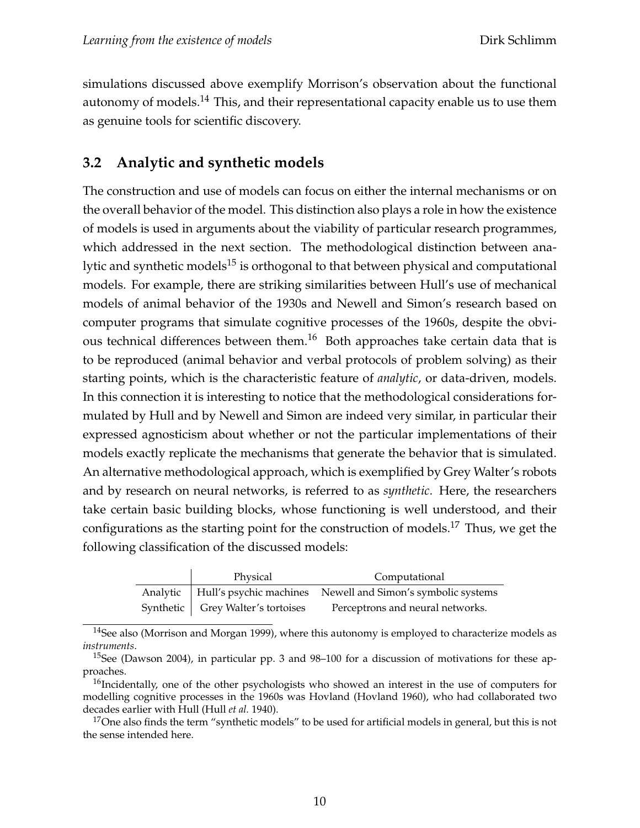simulations discussed above exemplify Morrison's observation about the functional autonomy of models.<sup>14</sup> This, and their representational capacity enable us to use them as genuine tools for scientific discovery.

#### **3.2 Analytic and synthetic models**

The construction and use of models can focus on either the internal mechanisms or on the overall behavior of the model. This distinction also plays a role in how the existence of models is used in arguments about the viability of particular research programmes, which addressed in the next section. The methodological distinction between analytic and synthetic models<sup>15</sup> is orthogonal to that between physical and computational models. For example, there are striking similarities between Hull's use of mechanical models of animal behavior of the 1930s and Newell and Simon's research based on computer programs that simulate cognitive processes of the 1960s, despite the obvious technical differences between them.<sup>16</sup> Both approaches take certain data that is to be reproduced (animal behavior and verbal protocols of problem solving) as their starting points, which is the characteristic feature of *analytic*, or data-driven, models. In this connection it is interesting to notice that the methodological considerations formulated by Hull and by Newell and Simon are indeed very similar, in particular their expressed agnosticism about whether or not the particular implementations of their models exactly replicate the mechanisms that generate the behavior that is simulated. An alternative methodological approach, which is exemplified by Grey Walter's robots and by research on neural networks, is referred to as *synthetic*. Here, the researchers take certain basic building blocks, whose functioning is well understood, and their configurations as the starting point for the construction of models.<sup>17</sup> Thus, we get the following classification of the discussed models:

| Physical                            | Computational                                                          |
|-------------------------------------|------------------------------------------------------------------------|
|                                     | Analytic   Hull's psychic machines Newell and Simon's symbolic systems |
| Synthetic   Grey Walter's tortoises | Perceptrons and neural networks.                                       |

 $14$ See also (Morrison and Morgan 1999), where this autonomy is employed to characterize models as *instruments*.

 $17$ One also finds the term "synthetic models" to be used for artificial models in general, but this is not the sense intended here.

<sup>&</sup>lt;sup>15</sup>See (Dawson 2004), in particular pp. 3 and 98–100 for a discussion of motivations for these approaches.

<sup>&</sup>lt;sup>16</sup>Incidentally, one of the other psychologists who showed an interest in the use of computers for modelling cognitive processes in the 1960s was Hovland (Hovland 1960), who had collaborated two decades earlier with Hull (Hull *et al.* 1940).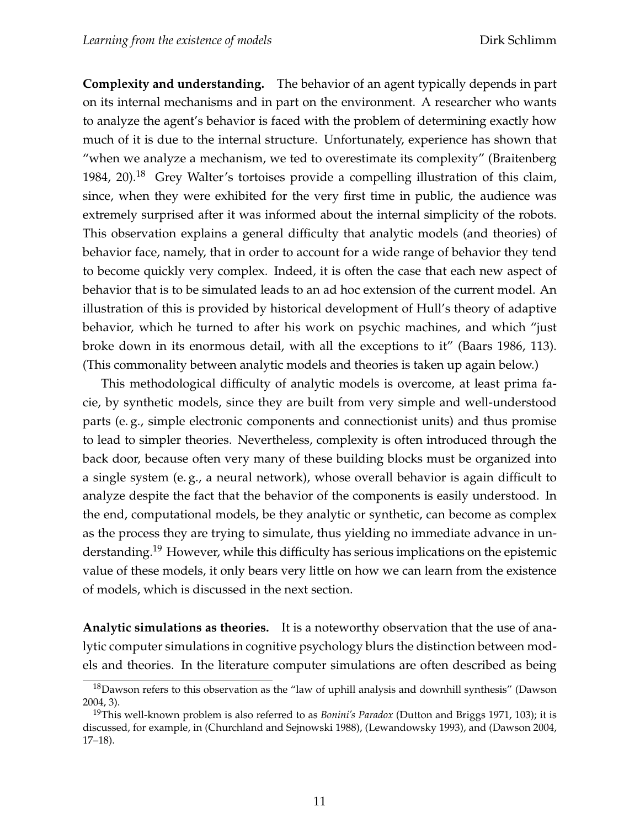**Complexity and understanding.** The behavior of an agent typically depends in part on its internal mechanisms and in part on the environment. A researcher who wants to analyze the agent's behavior is faced with the problem of determining exactly how much of it is due to the internal structure. Unfortunately, experience has shown that "when we analyze a mechanism, we ted to overestimate its complexity" (Braitenberg 1984, 20).<sup>18</sup> Grey Walter's tortoises provide a compelling illustration of this claim, since, when they were exhibited for the very first time in public, the audience was extremely surprised after it was informed about the internal simplicity of the robots. This observation explains a general difficulty that analytic models (and theories) of behavior face, namely, that in order to account for a wide range of behavior they tend to become quickly very complex. Indeed, it is often the case that each new aspect of behavior that is to be simulated leads to an ad hoc extension of the current model. An illustration of this is provided by historical development of Hull's theory of adaptive behavior, which he turned to after his work on psychic machines, and which "just broke down in its enormous detail, with all the exceptions to it" (Baars 1986, 113). (This commonality between analytic models and theories is taken up again below.)

This methodological difficulty of analytic models is overcome, at least prima facie, by synthetic models, since they are built from very simple and well-understood parts (e. g., simple electronic components and connectionist units) and thus promise to lead to simpler theories. Nevertheless, complexity is often introduced through the back door, because often very many of these building blocks must be organized into a single system (e. g., a neural network), whose overall behavior is again difficult to analyze despite the fact that the behavior of the components is easily understood. In the end, computational models, be they analytic or synthetic, can become as complex as the process they are trying to simulate, thus yielding no immediate advance in understanding.<sup>19</sup> However, while this difficulty has serious implications on the epistemic value of these models, it only bears very little on how we can learn from the existence of models, which is discussed in the next section.

**Analytic simulations as theories.** It is a noteworthy observation that the use of analytic computer simulations in cognitive psychology blurs the distinction between models and theories. In the literature computer simulations are often described as being

 $18$ Dawson refers to this observation as the "law of uphill analysis and downhill synthesis" (Dawson 2004, 3).

<sup>19</sup>This well-known problem is also referred to as *Bonini's Paradox* (Dutton and Briggs 1971, 103); it is discussed, for example, in (Churchland and Sejnowski 1988), (Lewandowsky 1993), and (Dawson 2004, 17–18).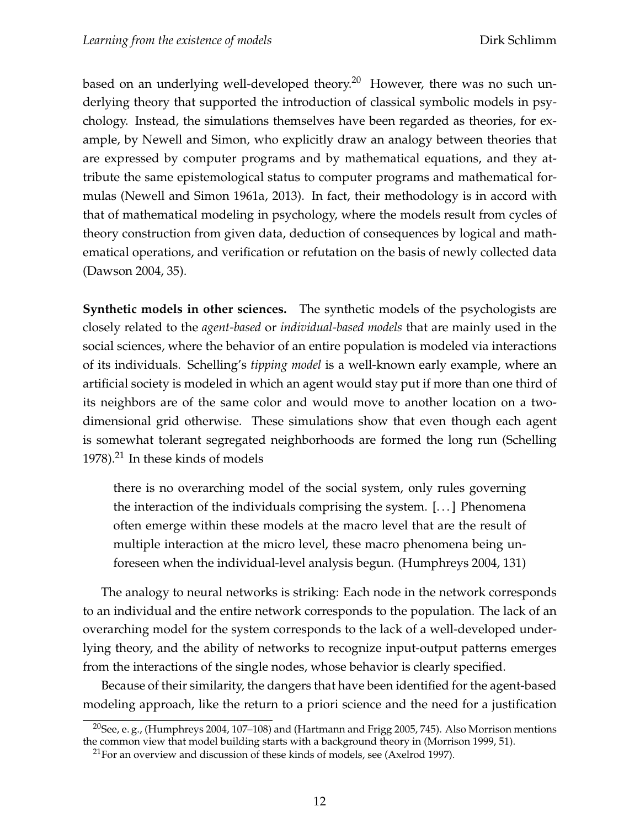based on an underlying well-developed theory.<sup>20</sup> However, there was no such underlying theory that supported the introduction of classical symbolic models in psychology. Instead, the simulations themselves have been regarded as theories, for example, by Newell and Simon, who explicitly draw an analogy between theories that are expressed by computer programs and by mathematical equations, and they attribute the same epistemological status to computer programs and mathematical formulas (Newell and Simon 1961a, 2013). In fact, their methodology is in accord with that of mathematical modeling in psychology, where the models result from cycles of theory construction from given data, deduction of consequences by logical and mathematical operations, and verification or refutation on the basis of newly collected data (Dawson 2004, 35).

**Synthetic models in other sciences.** The synthetic models of the psychologists are closely related to the *agent-based* or *individual-based models* that are mainly used in the social sciences, where the behavior of an entire population is modeled via interactions of its individuals. Schelling's *tipping model* is a well-known early example, where an artificial society is modeled in which an agent would stay put if more than one third of its neighbors are of the same color and would move to another location on a twodimensional grid otherwise. These simulations show that even though each agent is somewhat tolerant segregated neighborhoods are formed the long run (Schelling  $1978$ <sup>21</sup> In these kinds of models

there is no overarching model of the social system, only rules governing the interaction of the individuals comprising the system. [. . . ] Phenomena often emerge within these models at the macro level that are the result of multiple interaction at the micro level, these macro phenomena being unforeseen when the individual-level analysis begun. (Humphreys 2004, 131)

The analogy to neural networks is striking: Each node in the network corresponds to an individual and the entire network corresponds to the population. The lack of an overarching model for the system corresponds to the lack of a well-developed underlying theory, and the ability of networks to recognize input-output patterns emerges from the interactions of the single nodes, whose behavior is clearly specified.

Because of their similarity, the dangers that have been identified for the agent-based modeling approach, like the return to a priori science and the need for a justification

<sup>&</sup>lt;sup>20</sup>See, e.g., (Humphreys 2004, 107–108) and (Hartmann and Frigg 2005, 745). Also Morrison mentions the common view that model building starts with a background theory in (Morrison 1999, 51).

<sup>21</sup>For an overview and discussion of these kinds of models, see (Axelrod 1997).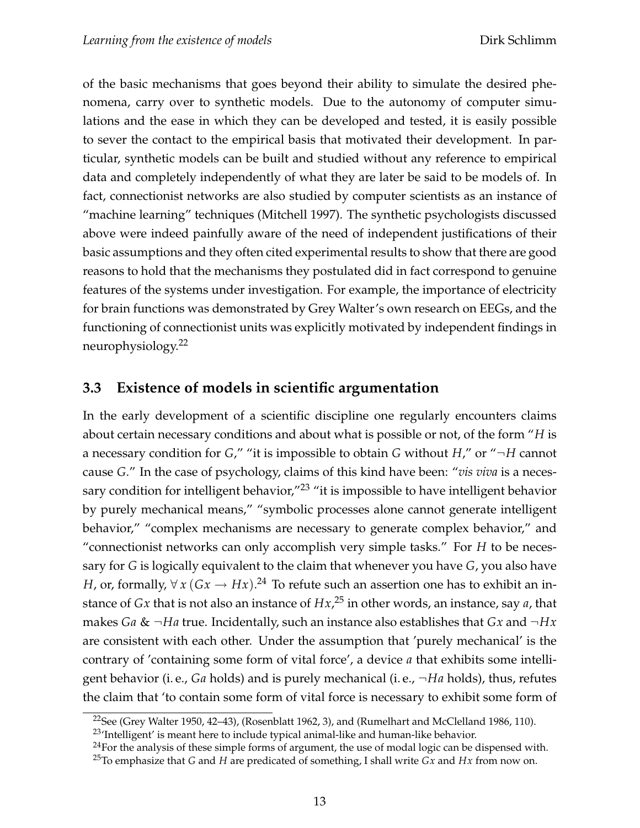of the basic mechanisms that goes beyond their ability to simulate the desired phenomena, carry over to synthetic models. Due to the autonomy of computer simulations and the ease in which they can be developed and tested, it is easily possible to sever the contact to the empirical basis that motivated their development. In particular, synthetic models can be built and studied without any reference to empirical data and completely independently of what they are later be said to be models of. In fact, connectionist networks are also studied by computer scientists as an instance of "machine learning" techniques (Mitchell 1997). The synthetic psychologists discussed above were indeed painfully aware of the need of independent justifications of their basic assumptions and they often cited experimental results to show that there are good reasons to hold that the mechanisms they postulated did in fact correspond to genuine features of the systems under investigation. For example, the importance of electricity for brain functions was demonstrated by Grey Walter's own research on EEGs, and the functioning of connectionist units was explicitly motivated by independent findings in neurophysiology.<sup>22</sup>

#### **3.3 Existence of models in scientific argumentation**

In the early development of a scientific discipline one regularly encounters claims about certain necessary conditions and about what is possible or not, of the form "*H* is a necessary condition for *G*," "it is impossible to obtain *G* without *H*," or "¬*H* cannot cause *G*." In the case of psychology, claims of this kind have been: "*vis viva* is a necessary condition for intelligent behavior,<sup> $723$ </sup> "it is impossible to have intelligent behavior by purely mechanical means," "symbolic processes alone cannot generate intelligent behavior," "complex mechanisms are necessary to generate complex behavior," and "connectionist networks can only accomplish very simple tasks." For *H* to be necessary for *G* is logically equivalent to the claim that whenever you have *G*, you also have *H*, or, formally, ∀ *x* (*Gx*  $\rightarrow$  *Hx*).<sup>24</sup> To refute such an assertion one has to exhibit an instance of *Gx* that is not also an instance of *Hx*, <sup>25</sup> in other words, an instance, say *a*, that makes *Ga* & ¬*Ha* true. Incidentally, such an instance also establishes that *Gx* and ¬*Hx* are consistent with each other. Under the assumption that 'purely mechanical' is the contrary of 'containing some form of vital force', a device *a* that exhibits some intelligent behavior (i. e., *Ga* holds) and is purely mechanical (i. e., ¬*Ha* holds), thus, refutes the claim that 'to contain some form of vital force is necessary to exhibit some form of

 $23'$ Intelligent' is meant here to include typical animal-like and human-like behavior.

<sup>&</sup>lt;sup>22</sup>See (Grey Walter 1950, 42–43), (Rosenblatt 1962, 3), and (Rumelhart and McClelland 1986, 110).

<sup>&</sup>lt;sup>24</sup>For the analysis of these simple forms of argument, the use of modal logic can be dispensed with.

<sup>25</sup>To emphasize that *G* and *H* are predicated of something, I shall write *Gx* and *Hx* from now on.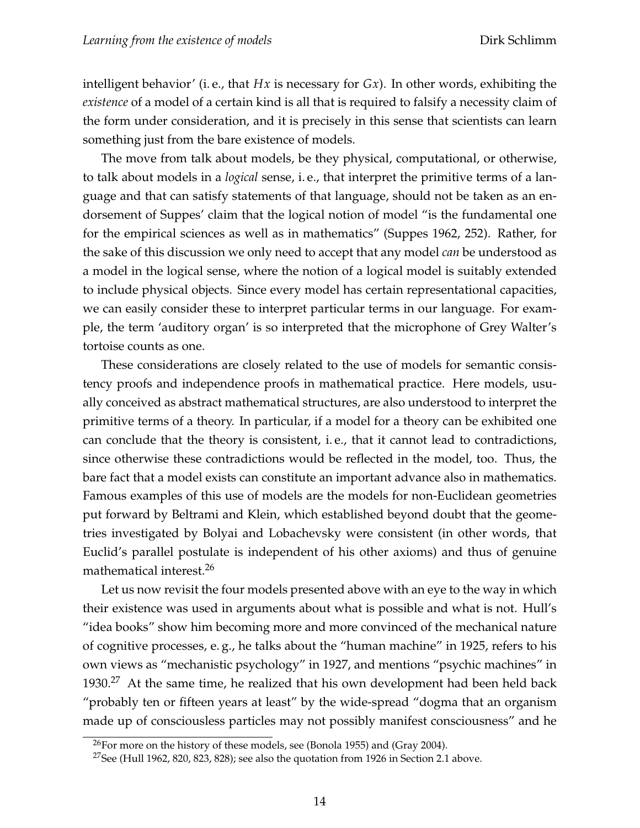intelligent behavior' (i. e., that *Hx* is necessary for *Gx*). In other words, exhibiting the *existence* of a model of a certain kind is all that is required to falsify a necessity claim of the form under consideration, and it is precisely in this sense that scientists can learn something just from the bare existence of models.

The move from talk about models, be they physical, computational, or otherwise, to talk about models in a *logical* sense, i. e., that interpret the primitive terms of a language and that can satisfy statements of that language, should not be taken as an endorsement of Suppes' claim that the logical notion of model "is the fundamental one for the empirical sciences as well as in mathematics" (Suppes 1962, 252). Rather, for the sake of this discussion we only need to accept that any model *can* be understood as a model in the logical sense, where the notion of a logical model is suitably extended to include physical objects. Since every model has certain representational capacities, we can easily consider these to interpret particular terms in our language. For example, the term 'auditory organ' is so interpreted that the microphone of Grey Walter's tortoise counts as one.

These considerations are closely related to the use of models for semantic consistency proofs and independence proofs in mathematical practice. Here models, usually conceived as abstract mathematical structures, are also understood to interpret the primitive terms of a theory. In particular, if a model for a theory can be exhibited one can conclude that the theory is consistent, i. e., that it cannot lead to contradictions, since otherwise these contradictions would be reflected in the model, too. Thus, the bare fact that a model exists can constitute an important advance also in mathematics. Famous examples of this use of models are the models for non-Euclidean geometries put forward by Beltrami and Klein, which established beyond doubt that the geometries investigated by Bolyai and Lobachevsky were consistent (in other words, that Euclid's parallel postulate is independent of his other axioms) and thus of genuine mathematical interest.<sup>26</sup>

Let us now revisit the four models presented above with an eye to the way in which their existence was used in arguments about what is possible and what is not. Hull's "idea books" show him becoming more and more convinced of the mechanical nature of cognitive processes, e. g., he talks about the "human machine" in 1925, refers to his own views as "mechanistic psychology" in 1927, and mentions "psychic machines" in 1930.<sup>27</sup> At the same time, he realized that his own development had been held back "probably ten or fifteen years at least" by the wide-spread "dogma that an organism made up of consciousless particles may not possibly manifest consciousness" and he

 $26$  For more on the history of these models, see (Bonola 1955) and (Gray 2004).

<sup>&</sup>lt;sup>27</sup>See (Hull 1962, 820, 823, 828); see also the quotation from 1926 in Section 2.1 above.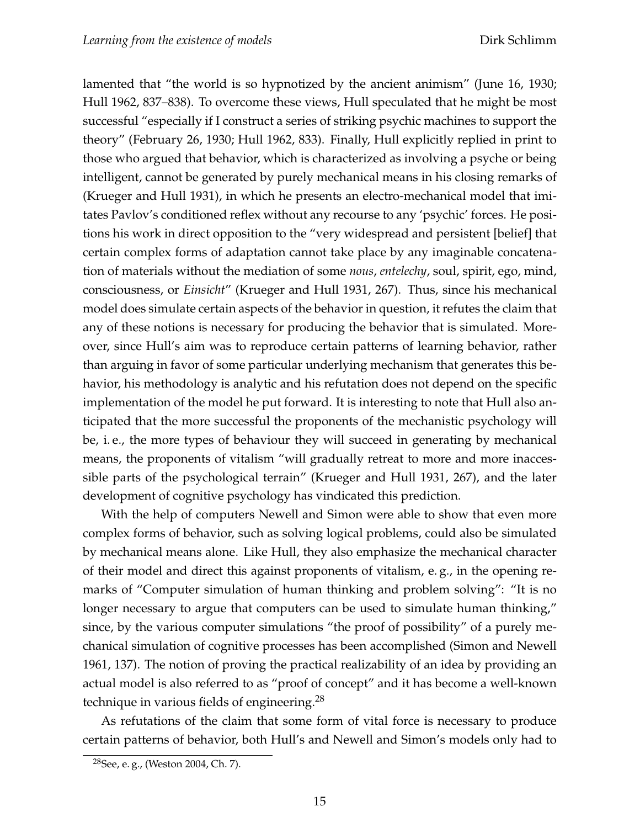lamented that "the world is so hypnotized by the ancient animism" (June 16, 1930; Hull 1962, 837–838). To overcome these views, Hull speculated that he might be most successful "especially if I construct a series of striking psychic machines to support the theory" (February 26, 1930; Hull 1962, 833). Finally, Hull explicitly replied in print to those who argued that behavior, which is characterized as involving a psyche or being intelligent, cannot be generated by purely mechanical means in his closing remarks of (Krueger and Hull 1931), in which he presents an electro-mechanical model that imitates Pavlov's conditioned reflex without any recourse to any 'psychic' forces. He positions his work in direct opposition to the "very widespread and persistent [belief] that certain complex forms of adaptation cannot take place by any imaginable concatenation of materials without the mediation of some *nous*, *entelechy*, soul, spirit, ego, mind, consciousness, or *Einsicht*" (Krueger and Hull 1931, 267). Thus, since his mechanical model does simulate certain aspects of the behavior in question, it refutes the claim that any of these notions is necessary for producing the behavior that is simulated. Moreover, since Hull's aim was to reproduce certain patterns of learning behavior, rather than arguing in favor of some particular underlying mechanism that generates this behavior, his methodology is analytic and his refutation does not depend on the specific implementation of the model he put forward. It is interesting to note that Hull also anticipated that the more successful the proponents of the mechanistic psychology will be, i. e., the more types of behaviour they will succeed in generating by mechanical means, the proponents of vitalism "will gradually retreat to more and more inaccessible parts of the psychological terrain" (Krueger and Hull 1931, 267), and the later development of cognitive psychology has vindicated this prediction.

With the help of computers Newell and Simon were able to show that even more complex forms of behavior, such as solving logical problems, could also be simulated by mechanical means alone. Like Hull, they also emphasize the mechanical character of their model and direct this against proponents of vitalism, e. g., in the opening remarks of "Computer simulation of human thinking and problem solving": "It is no longer necessary to argue that computers can be used to simulate human thinking," since, by the various computer simulations "the proof of possibility" of a purely mechanical simulation of cognitive processes has been accomplished (Simon and Newell 1961, 137). The notion of proving the practical realizability of an idea by providing an actual model is also referred to as "proof of concept" and it has become a well-known technique in various fields of engineering.<sup>28</sup>

As refutations of the claim that some form of vital force is necessary to produce certain patterns of behavior, both Hull's and Newell and Simon's models only had to

<sup>28</sup>See, e. g., (Weston 2004, Ch. 7).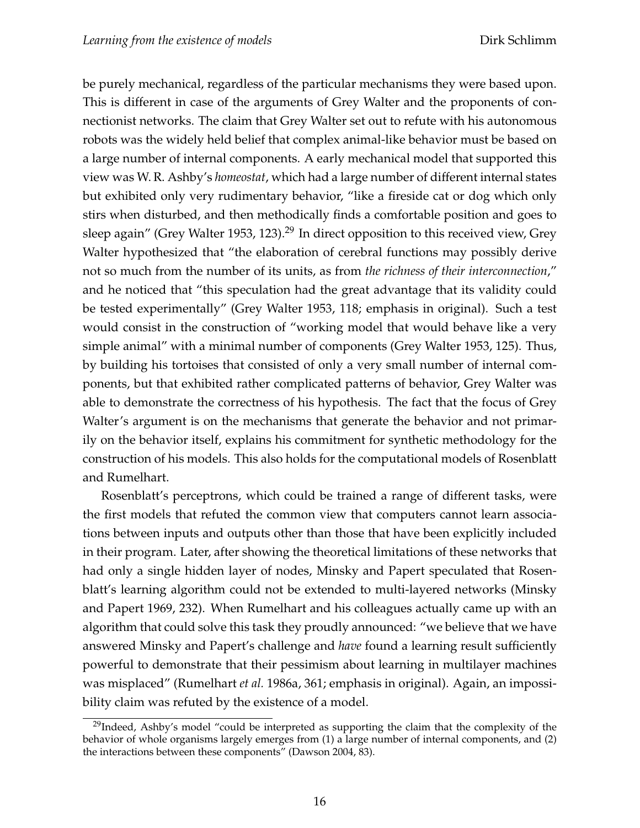be purely mechanical, regardless of the particular mechanisms they were based upon. This is different in case of the arguments of Grey Walter and the proponents of connectionist networks. The claim that Grey Walter set out to refute with his autonomous robots was the widely held belief that complex animal-like behavior must be based on a large number of internal components. A early mechanical model that supported this view was W. R. Ashby's *homeostat*, which had a large number of different internal states but exhibited only very rudimentary behavior, "like a fireside cat or dog which only stirs when disturbed, and then methodically finds a comfortable position and goes to sleep again" (Grey Walter 1953, 123).<sup>29</sup> In direct opposition to this received view, Grey Walter hypothesized that "the elaboration of cerebral functions may possibly derive not so much from the number of its units, as from *the richness of their interconnection*," and he noticed that "this speculation had the great advantage that its validity could be tested experimentally" (Grey Walter 1953, 118; emphasis in original). Such a test would consist in the construction of "working model that would behave like a very simple animal" with a minimal number of components (Grey Walter 1953, 125). Thus, by building his tortoises that consisted of only a very small number of internal components, but that exhibited rather complicated patterns of behavior, Grey Walter was able to demonstrate the correctness of his hypothesis. The fact that the focus of Grey Walter's argument is on the mechanisms that generate the behavior and not primarily on the behavior itself, explains his commitment for synthetic methodology for the construction of his models. This also holds for the computational models of Rosenblatt and Rumelhart.

Rosenblatt's perceptrons, which could be trained a range of different tasks, were the first models that refuted the common view that computers cannot learn associations between inputs and outputs other than those that have been explicitly included in their program. Later, after showing the theoretical limitations of these networks that had only a single hidden layer of nodes, Minsky and Papert speculated that Rosenblatt's learning algorithm could not be extended to multi-layered networks (Minsky and Papert 1969, 232). When Rumelhart and his colleagues actually came up with an algorithm that could solve this task they proudly announced: "we believe that we have answered Minsky and Papert's challenge and *have* found a learning result sufficiently powerful to demonstrate that their pessimism about learning in multilayer machines was misplaced" (Rumelhart *et al.* 1986a, 361; emphasis in original). Again, an impossibility claim was refuted by the existence of a model.

 $^{29}$ Indeed, Ashby's model "could be interpreted as supporting the claim that the complexity of the behavior of whole organisms largely emerges from (1) a large number of internal components, and (2) the interactions between these components" (Dawson 2004, 83).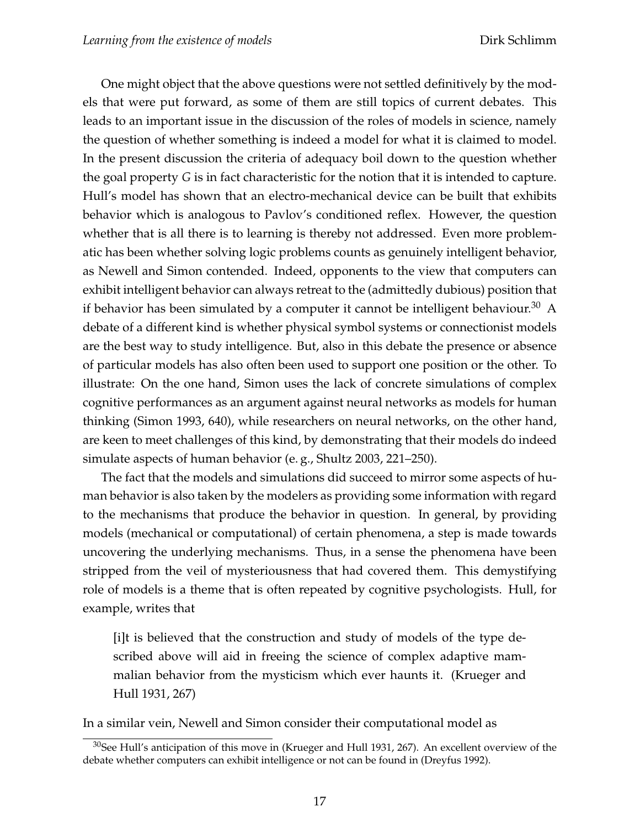One might object that the above questions were not settled definitively by the models that were put forward, as some of them are still topics of current debates. This leads to an important issue in the discussion of the roles of models in science, namely the question of whether something is indeed a model for what it is claimed to model. In the present discussion the criteria of adequacy boil down to the question whether the goal property *G* is in fact characteristic for the notion that it is intended to capture. Hull's model has shown that an electro-mechanical device can be built that exhibits behavior which is analogous to Pavlov's conditioned reflex. However, the question whether that is all there is to learning is thereby not addressed. Even more problematic has been whether solving logic problems counts as genuinely intelligent behavior, as Newell and Simon contended. Indeed, opponents to the view that computers can exhibit intelligent behavior can always retreat to the (admittedly dubious) position that if behavior has been simulated by a computer it cannot be intelligent behaviour.<sup>30</sup> A debate of a different kind is whether physical symbol systems or connectionist models are the best way to study intelligence. But, also in this debate the presence or absence of particular models has also often been used to support one position or the other. To illustrate: On the one hand, Simon uses the lack of concrete simulations of complex cognitive performances as an argument against neural networks as models for human thinking (Simon 1993, 640), while researchers on neural networks, on the other hand, are keen to meet challenges of this kind, by demonstrating that their models do indeed simulate aspects of human behavior (e. g., Shultz 2003, 221–250).

The fact that the models and simulations did succeed to mirror some aspects of human behavior is also taken by the modelers as providing some information with regard to the mechanisms that produce the behavior in question. In general, by providing models (mechanical or computational) of certain phenomena, a step is made towards uncovering the underlying mechanisms. Thus, in a sense the phenomena have been stripped from the veil of mysteriousness that had covered them. This demystifying role of models is a theme that is often repeated by cognitive psychologists. Hull, for example, writes that

[i]t is believed that the construction and study of models of the type described above will aid in freeing the science of complex adaptive mammalian behavior from the mysticism which ever haunts it. (Krueger and Hull 1931, 267)

In a similar vein, Newell and Simon consider their computational model as

 $30$ See Hull's anticipation of this move in (Krueger and Hull 1931, 267). An excellent overview of the debate whether computers can exhibit intelligence or not can be found in (Dreyfus 1992).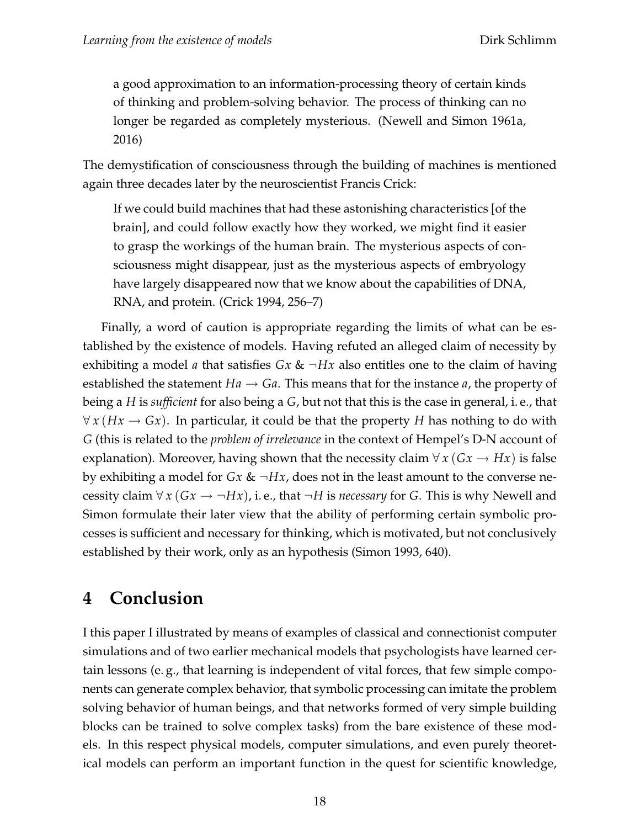a good approximation to an information-processing theory of certain kinds of thinking and problem-solving behavior. The process of thinking can no longer be regarded as completely mysterious. (Newell and Simon 1961a, 2016)

The demystification of consciousness through the building of machines is mentioned again three decades later by the neuroscientist Francis Crick:

If we could build machines that had these astonishing characteristics [of the brain], and could follow exactly how they worked, we might find it easier to grasp the workings of the human brain. The mysterious aspects of consciousness might disappear, just as the mysterious aspects of embryology have largely disappeared now that we know about the capabilities of DNA, RNA, and protein. (Crick 1994, 256–7)

Finally, a word of caution is appropriate regarding the limits of what can be established by the existence of models. Having refuted an alleged claim of necessity by exhibiting a model *a* that satisfies  $Gx \& \neg Hx$  also entitles one to the claim of having established the statement  $Ha \rightarrow Ga$ . This means that for the instance *a*, the property of being a *H* is *sufficient* for also being a *G*, but not that this is the case in general, i. e., that  $\forall x (Hx \rightarrow Gx)$ . In particular, it could be that the property *H* has nothing to do with *G* (this is related to the *problem of irrelevance* in the context of Hempel's D-N account of explanation). Moreover, having shown that the necessity claim  $\forall x (Gx \rightarrow Hx)$  is false by exhibiting a model for  $Gx \& \neg Hx$ , does not in the least amount to the converse necessity claim  $\forall x$  (*Gx* →  $\neg Hx$ ), i.e., that  $\neg H$  is *necessary* for *G*. This is why Newell and Simon formulate their later view that the ability of performing certain symbolic processes is sufficient and necessary for thinking, which is motivated, but not conclusively established by their work, only as an hypothesis (Simon 1993, 640).

# **4 Conclusion**

I this paper I illustrated by means of examples of classical and connectionist computer simulations and of two earlier mechanical models that psychologists have learned certain lessons (e. g., that learning is independent of vital forces, that few simple components can generate complex behavior, that symbolic processing can imitate the problem solving behavior of human beings, and that networks formed of very simple building blocks can be trained to solve complex tasks) from the bare existence of these models. In this respect physical models, computer simulations, and even purely theoretical models can perform an important function in the quest for scientific knowledge,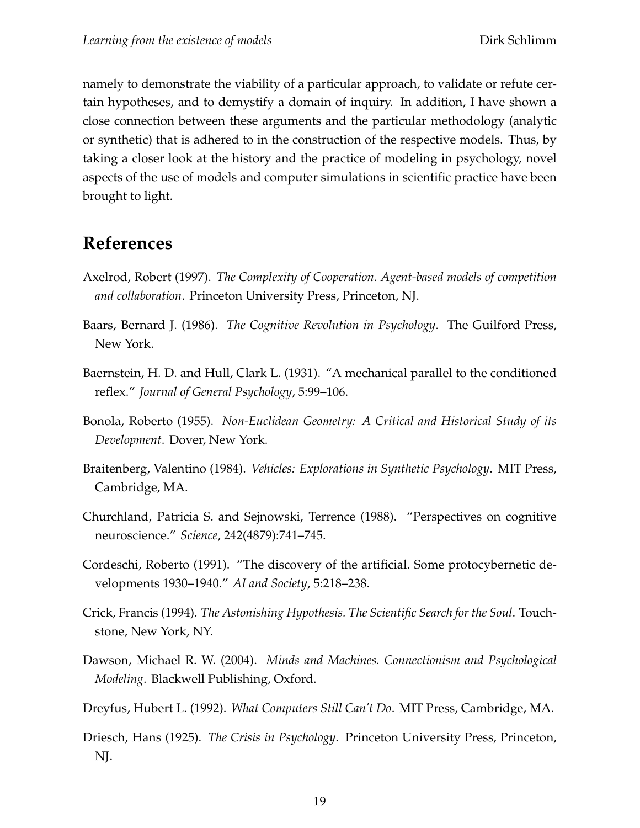namely to demonstrate the viability of a particular approach, to validate or refute certain hypotheses, and to demystify a domain of inquiry. In addition, I have shown a close connection between these arguments and the particular methodology (analytic or synthetic) that is adhered to in the construction of the respective models. Thus, by taking a closer look at the history and the practice of modeling in psychology, novel aspects of the use of models and computer simulations in scientific practice have been brought to light.

# **References**

- Axelrod, Robert (1997). *The Complexity of Cooperation. Agent-based models of competition and collaboration*. Princeton University Press, Princeton, NJ.
- Baars, Bernard J. (1986). *The Cognitive Revolution in Psychology*. The Guilford Press, New York.
- Baernstein, H. D. and Hull, Clark L. (1931). "A mechanical parallel to the conditioned reflex." *Journal of General Psychology*, 5:99–106.
- Bonola, Roberto (1955). *Non-Euclidean Geometry: A Critical and Historical Study of its Development*. Dover, New York.
- Braitenberg, Valentino (1984). *Vehicles: Explorations in Synthetic Psychology*. MIT Press, Cambridge, MA.
- Churchland, Patricia S. and Sejnowski, Terrence (1988). "Perspectives on cognitive neuroscience." *Science*, 242(4879):741–745.
- Cordeschi, Roberto (1991). "The discovery of the artificial. Some protocybernetic developments 1930–1940." *AI and Society*, 5:218–238.
- Crick, Francis (1994). *The Astonishing Hypothesis. The Scientific Search for the Soul*. Touchstone, New York, NY.
- Dawson, Michael R. W. (2004). *Minds and Machines. Connectionism and Psychological Modeling*. Blackwell Publishing, Oxford.
- Dreyfus, Hubert L. (1992). *What Computers Still Can't Do*. MIT Press, Cambridge, MA.
- Driesch, Hans (1925). *The Crisis in Psychology*. Princeton University Press, Princeton, NJ.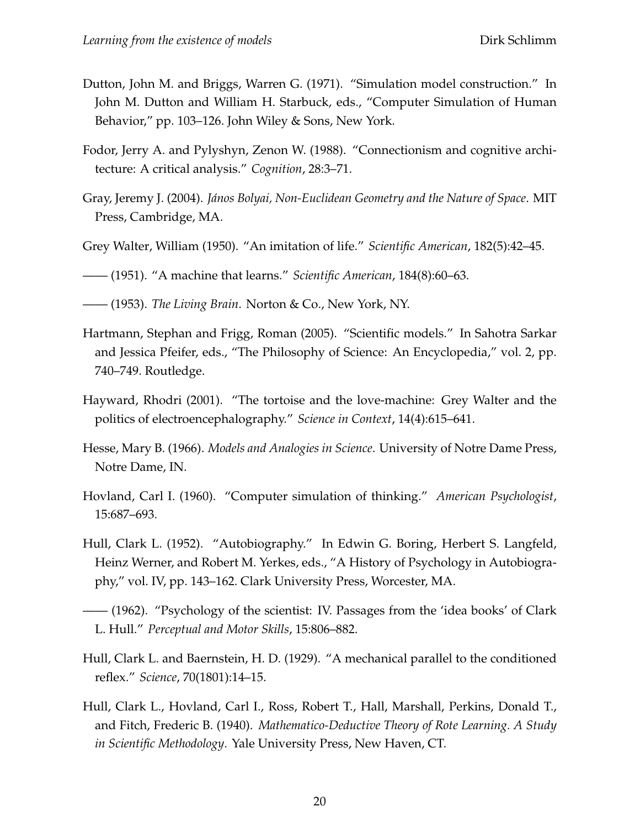- Dutton, John M. and Briggs, Warren G. (1971). "Simulation model construction." In John M. Dutton and William H. Starbuck, eds., "Computer Simulation of Human Behavior," pp. 103–126. John Wiley & Sons, New York.
- Fodor, Jerry A. and Pylyshyn, Zenon W. (1988). "Connectionism and cognitive architecture: A critical analysis." *Cognition*, 28:3–71.
- Gray, Jeremy J. (2004). *János Bolyai, Non-Euclidean Geometry and the Nature of Space*. MIT Press, Cambridge, MA.
- Grey Walter, William (1950). "An imitation of life." *Scientific American*, 182(5):42–45.
- —— (1951). "A machine that learns." *Scientific American*, 184(8):60–63.
- —— (1953). *The Living Brain*. Norton & Co., New York, NY.
- Hartmann, Stephan and Frigg, Roman (2005). "Scientific models." In Sahotra Sarkar and Jessica Pfeifer, eds., "The Philosophy of Science: An Encyclopedia," vol. 2, pp. 740–749. Routledge.
- Hayward, Rhodri (2001). "The tortoise and the love-machine: Grey Walter and the politics of electroencephalography." *Science in Context*, 14(4):615–641.
- Hesse, Mary B. (1966). *Models and Analogies in Science*. University of Notre Dame Press, Notre Dame, IN.
- Hovland, Carl I. (1960). "Computer simulation of thinking." *American Psychologist*, 15:687–693.
- Hull, Clark L. (1952). "Autobiography." In Edwin G. Boring, Herbert S. Langfeld, Heinz Werner, and Robert M. Yerkes, eds., "A History of Psychology in Autobiography," vol. IV, pp. 143–162. Clark University Press, Worcester, MA.
- —— (1962). "Psychology of the scientist: IV. Passages from the 'idea books' of Clark L. Hull." *Perceptual and Motor Skills*, 15:806–882.
- Hull, Clark L. and Baernstein, H. D. (1929). "A mechanical parallel to the conditioned reflex." *Science*, 70(1801):14–15.
- Hull, Clark L., Hovland, Carl I., Ross, Robert T., Hall, Marshall, Perkins, Donald T., and Fitch, Frederic B. (1940). *Mathematico-Deductive Theory of Rote Learning. A Study in Scientific Methodology*. Yale University Press, New Haven, CT.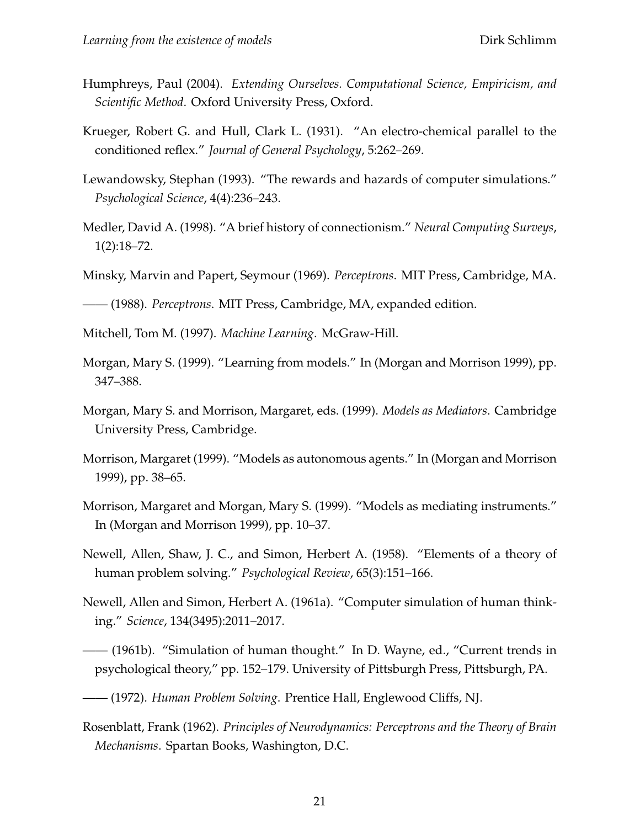- Humphreys, Paul (2004). *Extending Ourselves. Computational Science, Empiricism, and Scientific Method*. Oxford University Press, Oxford.
- Krueger, Robert G. and Hull, Clark L. (1931). "An electro-chemical parallel to the conditioned reflex." *Journal of General Psychology*, 5:262–269.
- Lewandowsky, Stephan (1993). "The rewards and hazards of computer simulations." *Psychological Science*, 4(4):236–243.
- Medler, David A. (1998). "A brief history of connectionism." *Neural Computing Surveys*, 1(2):18–72.
- Minsky, Marvin and Papert, Seymour (1969). *Perceptrons*. MIT Press, Cambridge, MA.

—— (1988). *Perceptrons*. MIT Press, Cambridge, MA, expanded edition.

- Mitchell, Tom M. (1997). *Machine Learning*. McGraw-Hill.
- Morgan, Mary S. (1999). "Learning from models." In (Morgan and Morrison 1999), pp. 347–388.
- Morgan, Mary S. and Morrison, Margaret, eds. (1999). *Models as Mediators*. Cambridge University Press, Cambridge.
- Morrison, Margaret (1999). "Models as autonomous agents." In (Morgan and Morrison 1999), pp. 38–65.
- Morrison, Margaret and Morgan, Mary S. (1999). "Models as mediating instruments." In (Morgan and Morrison 1999), pp. 10–37.
- Newell, Allen, Shaw, J. C., and Simon, Herbert A. (1958). "Elements of a theory of human problem solving." *Psychological Review*, 65(3):151–166.
- Newell, Allen and Simon, Herbert A. (1961a). "Computer simulation of human thinking." *Science*, 134(3495):2011–2017.
- —— (1961b). "Simulation of human thought." In D. Wayne, ed., "Current trends in psychological theory," pp. 152–179. University of Pittsburgh Press, Pittsburgh, PA.

Rosenblatt, Frank (1962). *Principles of Neurodynamics: Perceptrons and the Theory of Brain Mechanisms*. Spartan Books, Washington, D.C.

<sup>—— (1972).</sup> *Human Problem Solving*. Prentice Hall, Englewood Cliffs, NJ.